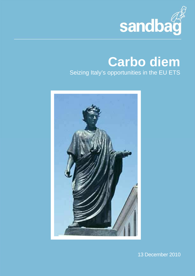

# **Carbo diem** Seizing Italy's opportunities in the EU ETS



13 December 2010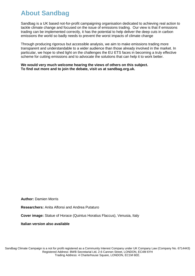## **About Sandbag**

Sandbag is a UK based not-for-profit campaigning organisation dedicated to achieving real action to tackle climate change and focused on the issue of emissions trading. Our view is that if emissions trading can be implemented correctly, it has the potential to help deliver the deep cuts in carbon emissions the world so badly needs to prevent the worst impacts of climate change

Through producing rigorous but accessible analysis, we aim to make emissions trading more transparent and understandable to a wider audience than those already involved in the market. In particular, we hope to shed light on the challenges the EU ETS faces in becoming a truly effective scheme for cutting emissions and to advocate the solutions that can help it to work better.

**We would very much welcome hearing the views of others on this subject. To find out more and to join the debate, visit us at sandbag.org.uk.** 

**Author:** Damien Morris

**Researchers:** Anita Alfonsi and Andrea Putaturo

**Cover image:** Statue of Horace (Quintus Horatius Flaccus), Venusia, Italy

**Italian version also available**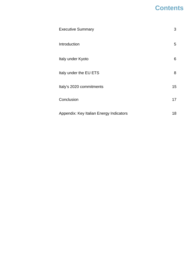## **Contents**

| <b>Executive Summary</b>                | 3  |
|-----------------------------------------|----|
| Introduction                            | 5  |
| Italy under Kyoto                       | 6  |
| Italy under the EU ETS                  | 8  |
| Italy's 2020 commitments                | 15 |
| Conclusion                              | 17 |
| Appendix: Key Italian Energy Indicators | 18 |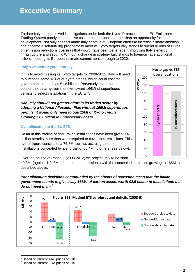To date Italy has perceived its obligations under both the Kyoto Protocol and the EU Emissions Trading System purely as a punitive cost to be shouldered rather than an opportunity for development. Not only has this made Italy nervous of European efforts to increase climate ambition, it has become a self-fulfilling prophecy: to meet its Kyoto targets Italy stands to spend billions of Euros on emission reductions overseas that would have been better spent improving Italy's energy infrastructure and security. Without a change in strategy Italy stands to haemorrhage additional billions meeting its European climate commitments through to 2020.

### **Italy's wasteful Kyoto strategy**

If it is to avoid missing its Kyoto targets for 2008-2012, Italy will need to purchase some 181Mt of Kyoto credits, which could cost the government as much as €1.8 billion<sup>1</sup>. Perversely, over the same period, the Italian government will award 166Mt of superfluous permits to select installations in the EU ETS.

**Had Italy shouldered greater effort in its traded sector by adopting a National Allocation Plan without 166Mt superfluous permits, it would only need to buy 15Mt of Kyoto credits, avoiding €1.7 billion in unnecessary costs.** 

### **Overallocation in the EU ETS**

So far in this trading period, Italian installations have been given 9.4 million permits more than were required to cover their emissions. This overall figure consists of a 75.8Mt surplus accruing to some installations concealed by a shortfall of 66.4Mt to others (see below).

Over the course of Phase 2 (2008-2012) we project Italy to be short

40.3Mt (against 1,048Mt of total traded emissions) with the concealed surpluses growing to 166Mt as described above.

#### **Poor allocation decisions compounded by the effects of recession mean that the Italian government stands to give away 166Mt of carbon assets worth €2.5 billion to installations that do not need them.<sup>2</sup>**



 $\overline{a}$  $^1$  Based on current AAU prices of  $\in$ 10



<sup>&</sup>lt;sup>2</sup> Based on current EUA prices of €15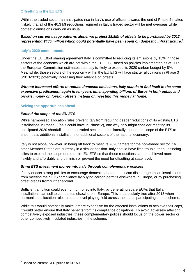#### **Offsetting in the EU ETS**

Within the traded sector, an anticipated rise in Italy's use of offsets towards the end of Phase 2 makes it likely that all of the 40.3 Mt reductions required in Italy's traded sector will be met overseas while domestic emissions carry on as usual.

### **Based on current usage patterns alone, we project 38.8Mt of offsets to be purchased by 2012, representing €485 million which could potentially have been spent on domestic infrastructure.<sup>3</sup>**

#### **Italy's 2020 commitments**

Under the EU Effort sharing agreement Italy is committed to reducing its emissions by 13% in those sectors of the economy which are not within the EU ETS. Based on policies implemented as of 2009, the European Commission estimates that Italy is likely to exceed its 2020 carbon budget by 8%. Meanwhile, those sectors of the economy within the EU ETS will face stricter allocations in Phase 3 (2013-2020) potentially increasing their reliance on offsets.

**Without increased efforts to reduce domestic emissions, Italy stands to find itself in the same expensive predicament again in ten years time, spending billions of Euros in both public and private money on foreign offsets instead of investing this money at home.** 

#### **Seizing the opportunities ahead**

#### **Extend the scope of the EU ETS**

While harmonised allocation rules prevent Italy from requiring deeper reductions of its existing ETS installations in Phase 3 (as it could have in Phase 2), one way Italy might consider meeting its anticipated 2020 shortfall in the non-traded sector is to unilaterally extend the scope of the ETS to encompass additional installations or additional sectors of the national economy.

Italy is not alone, however, in being off track to meet its 2020 targets for the non-traded sector. 16 other Member States are currently in a similar position. Italy should have little trouble, then, in finding allies to expand the scope of the entire EU ETS so that these reductions can be achieved more flexibly and affordably and diminish or prevent the need for offsetting at state level.

#### **Bring ETS investment money into Italy through complementary policies**

If Italy enacts strong policies to encourage domestic abatement, it can discourage Italian installations from meeting their ETS compliance by buying carbon permits elsewhere in Europe, or by purchasing offset credits from further abroad.

Sufficient ambition could even bring money into Italy, by generating spare EUAs that Italian installations can sell to companies elsewhere in Europe. This is particularly true after 2013 when harmonised allocation rules create a level playing field across the states participating in the scheme.

While this would potentially make it more expensive for the affected installations to achieve their caps, it would better ensure that Italy benefits from its compliance obligations. To avoid adversely affecting competitively exposed industries, these complementary polices should focus on the power sector or other competitively insulated industries in the scheme.

<sup>&</sup>lt;sup>3</sup> Based on current CER prices of €12.50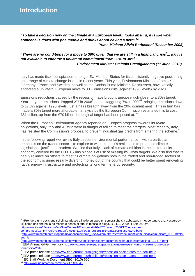**Introduction**

**"To take a decision now on the climate at a European level…looks absurd, it is like when someone is down with pneumonia and thinks about having a perm.<sup>4</sup> " – Prime Minister Silvio Berlusconi (December 2008)** 

### **"There are no conditions for a move to 30% given that we are still in a financial crisis<sup>5</sup> ... Italy is not available to endorse a unilateral commitment from 20% to 30%<sup>6</sup> " – Environment Minister Stefania Prestigiacomo (11 June 2010)**

Italy has made itself conspicuous amongst EU Member States for its consistently negative positioning on a range of climate change issues in recent years. This year, Environment Ministers from UK, Germany, France and Sweden, as well as the Danish Prime Minister, Rasmussen, have vocally endorsed a unilateral European move to 30% emissions cuts (against 1990 levels) by 2020.

Emissions reductions caused by the recession have brought Europe much closer to a 30% target. Year-on-year emissions dropped 2% in 2008<sup>7</sup> and a staggering 7% in 2009<sup>8</sup>, bringing emissions down to 17.3% against 1990 levels, just a hairs breadth away from the 20% commitment<sup>9</sup>. This in turn has made a 30% target more affordable –analysis by the European Commission estimated this to cost €81 billion, up from the €70 billion the original arget had been priced at.<sup>10</sup>

When the European Environment Agency reported on Europe's progress towards its Kyoto obligations, only Italy and Austria were in danger of failing to meet their targets. Most recently, Italy has resisted the Commission's proposal to prevent industrial gas credits from entering the scheme.<sup>11</sup>

In the following report we review Italy's recent environmental performance – with a particular emphasis on the traded sector – to explore to what extent it's resistance to proposed climate legislation is justified or prudent. We find that Italy's lack of climate ambition in the sectors of its economy covered by the EU ETS has placed it at risk of missing its Kyoto targets. We also find that its heavy reliance on offsets to meet its climate obligations both in the traded and non-traded sectors of the economy is unnecessarily diverting money out of the country that could be better spent renovating Italy's energy infrastructure and protecting its long term energy security.

<sup>4</sup> «Prendere una decisione sul clima adesso a livello europeo mi sembra che sia abbastanza inopportuno», anzi «assurdo», «È come uno che ha la polmonite e pensa di farsi la messa in piega...» 11.12.2009, Il Sole 24 Ore http://www.ilsole24ore.com/art/SoleOnLine4/Economia%20e%20Lavoro/2008/12/vertice-ue-

compromesso.shtml?uuid=35e1b8fe-c76c-11dd-9b35-0552e13c14c8&DocRulesView=Libero 5 http://www.minambiente.it/opencms/opencms/home\_it/showitem.html?item=/documenti/comunicati/comunicato\_0019.html&l ang=it<br><sup>6</sup>b#p://

http://www.minambiente.it/home\_it/showitem.html?lang=&item=/documenti/comunicati/comunicato\_0134\_a.html <sup>7</sup> EEA Annual GHG inventory http://www.eea.europa.eu/publications/european-union-greenhouse-gasinventory-2010

<sup>8</sup> EEA press release http://www.eea.europa.eu/highlights/recession-accelerates-the-decline-in

<sup>&</sup>lt;sup>9</sup> EEA press release http://www.eea.europa.eu/highlights/recession-accelerates-the-decline-in

<sup>&</sup>lt;sup>10</sup> EC Staff Working Document SEC (2010) 650

<sup>11</sup> http://www.pointcarbon.com/news/1.1486545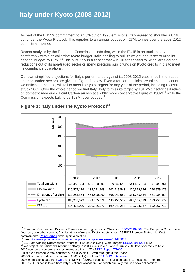As part of the EU15's commitment to an 8% cut on 1990 emissions, Italy agreed to shoulder a 6.5% cut under the Kyoto Protocol. This equates to an annual budget of 423Mt tonnes over the 2008-2012 commitment period.

Recent analysis by the European Commission finds that, while the EU15 is on track to stay comfortably within its collective Kyoto budget, Italy is failing to pull its weight and is set to miss its national budget by 6.7%.<sup>12</sup> This puts Italy in a tight corner – it will either need to wring large carbon reductions out of its non-traded sector or spend precious public funds on Kyoto credits if it is to meet its compliance obligations.

Our own simplified projections for Italy's performance against its 2008-2012 caps in both the traded and non-traded sectors are given in Figure 1 below. Even after carbon sinks are taken into account we anticipate that Italy will fail to meet its Kyoto targets for any year of the period, including recession struck 2009. Over the whole period we find Italy likely to miss its target by 181.2Mt insofar as it relies on domestic measures. Point Carbon arrives at slightly more conservative figure of 138Mt<sup>13</sup> while the Commission expects Italy to be 123Mt over budget.<sup>14</sup>



## **Figure 1: Italy under the Kyoto Protocol<sup>15</sup>**

<sup>14</sup> EC Staff Working Document for Progress Towards Achieving Kyoto Targets **SEC(2010) 1204** p.10

 $\overline{a}$ <sup>12</sup> European Commission, Progress Towards Achieving the Kyoto Objectives COM(2010) 569. The European Commission finds only one other country, Austria, at risk of missing Kyoto targets across 25 EU27 Member States with Kyoto commitments. **Point Carbon** finds Spain also at risk.

<sup>&</sup>lt;sup>13</sup> See http://www.pointcarbon.com/aboutus/pressroom/pressreleases/1.1478058

<sup>&</sup>lt;sup>15</sup> We project emissions will rebound halfway to 2008 levels in 2010 and return to 2008 levels for the 2011-12 2010 economy wide emissions estimates are from p.72 of EEA Report 7/2010

Sinks are assumed to stay constant at 2008 levels (10.2Mt) throughout the Phase

<sup>2008-9</sup> economy wide emissions (and 2008 sinks) are from **EEA GHG data viewer** 

<sup>2008-9</sup> emissions data from CITL as of May 17<sup>th</sup> 2010. Incomplete installation data ("-1s) has been ingnored 2008-12 ETS cap is taken from Italy's National Allocation Plan which annually reduces power allocations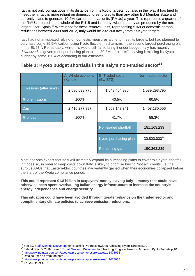Italy is not only conspicuous in its distance from its Kyoto targets, but also in the way it has tried to meet them: Italy is more reliant on domestic forestry credits than any other EU Member State and currently plans to generate 10.2Mt carbon removal units (RMUs) a year. This represents a quarter of the RMUs created in the whole of the EU15 and is nearly twice as many as produced by the next largest user, Spain.<sup>16</sup> Were it not for these removal units, representing 51Mt of domestic carbon reductions between 2008 and 2012, Italy would be 232.2Mt away from its Kyoto targets.

Italy had not anticipated relying on domestic measures alone to meet its targets, but had planned to purchase some 85.5Mt carbon using Kyoto flexible mechanisms – the second largest purchasing plan in the EU27<sup>17</sup>. Remarkably, while this would still fail to bring it under budget, Italy has recently downsized its government purchasing plan to just 30.8Mt of credits<sup>18</sup>, leaving it missing its Kyoto budget by some 150.4Mt according to our estimates.

|                         | A: Whole economy<br>(Kyoto)    | <b>B: Traded sector</b><br>(EU ETS) | Non-traded sector        |  |
|-------------------------|--------------------------------|-------------------------------------|--------------------------|--|
| Emissions (after sinks) | 2,586,698,775<br>1,048,404,980 |                                     | 1,589,293,795            |  |
| % of emissions          | 100%                           | 40.5%                               | 60.5%                    |  |
| Cap                     | 2,416,277,897                  | 1,008,147,341                       | 1,408,130,556            |  |
| % of cap                | 100%                           | 41.7%                               | 58.3%                    |  |
|                         |                                | Non-traded shortfall                | 181, 163, 239            |  |
|                         |                                | Kyoto purchasing plan               | 30,800,000 <sup>20</sup> |  |
|                         |                                | Remaining gap                       | 150,363,239              |  |

## **Table 1: Kyoto budget shortfalls in the Italy's non-traded sector<sup>19</sup>**

Most analysts expect that Italy will ultimately expand its purchasing plans to cover this Kyoto shortfall. If it does so, in order to keep costs down Italy is likely to prioritise buying "hot air" credits, i.e. the surplus AAUs that Eastern-bloc countries inadvertently gained when their economies collapsed before the start of the Kyoto compliance period.

**This could represent €1.8 billion in taxpayers' money leaving Italy<sup>21</sup>, money that could have otherwise been spent overhauling Italian energy infrastructure to increase the country's energy independence and energy security.** 

**This situation could have been avoided through greater reliance on the traded sector and complimentary climate policies to achieve emission reductions.** 

 $\overline{a}$ <sup>16</sup> See EC Staff Working Document for "Tracking Progress towards Achieving Kyoto Targets p.10

<sup>&</sup>lt;sup>17</sup> Behind Spain's 289Mt, see EC Staff Working Document for "Tracking Progress towards Achieving Kyoto Targets p.10

<sup>18</sup> http://www.pointcarbon.com/aboutus/pressroom/pressreleases/1.1478058

<sup>19</sup> Data sources as from footnote 15.

<sup>20</sup> http://www.pointcarbon.com/aboutus/pressroom/pressreleases/1.1478058<br>21 i.e. AAUs at <del>E</del>10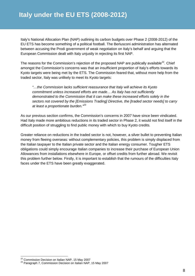Italy's National Allocation Plan (NAP) outlining its carbon budgets over Phase 2 (2008-2012) of the EU ETS has become something of a political football. The Berlusconi administration has alternated between accusing the Prodi government of weak negotiation on Italy's behalf and arguing that the European Commission dealt with Italy unjustly in rejecting its first NAP.

The reasons for the Commission's rejection of the proposed NAP are publically available<sup>22</sup>. Chief amongst the Commission's concerns was that an insufficient proportion of Italy's efforts towards its Kyoto targets were being met by the ETS. The Commission feared that, without more help from the traded sector, Italy was unlikely to meet its Kyoto targets:

"…the Commission lacks sufficient reassurance that Italy will achieve its Kyoto commitment unless increased efforts are made… As Italy has not sufficiently demonstrated to the Commission that it can make these increased efforts solely in the sectors not covered by the [Emissions Trading] Directive, the [traded sector needs] to carry at least a proportionate burden.<sup>"23</sup>

As our previous section confirms, the Commission's concerns in 2007 have since been vindicated. Had Italy made more ambitious reductions in its traded sector in Phase 2, it would not find itself in the difficult position of struggling to find public money with which to buy Kyoto credits.

Greater reliance on reductions in the traded sector is not, however, a silver bullet to preventing Italian money from fleeing overseas: without complementary policies, this problem is simply displaced from the Italian taxpayer to the Italian private sector and the Italian energy consumer. Tougher ETS obligations could simply encourage Italian companies to increase their purchase of European Union Allowances from installations elsewhere in Europe, or offset credits from further abroad. We revisit this problem further below. Firstly, it is important to establish that the rumours of the difficulties Italy faces under the ETS have been greatly exaggerated.

 $22$  Commission Decision on Italian NAP, 15 May 2007

<sup>&</sup>lt;sup>23</sup> Paragraph 7, Commission Decision on Italian NAP, 15 May 2007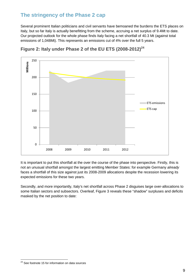## **The stringency of the Phase 2 cap**

Several prominent Italian politicians and civil servants have bemoaned the burdens the ETS places on Italy, but so far Italy is actually benefitting from the scheme, accruing a net surplus of 9.4Mt to date. Our projected outlook for the whole phase finds Italy facing a net shortfall of 40.3 Mt (against total emissions of 1,048Mt). This represents an emissions cut of 4% over the full 5 years.



**Figure 2: Italy under Phase 2 of the EU ETS (2008-2012)<sup>24</sup>**

It is important to put this shortfall at the over the course of the phase into perspective. Firstly, this is not an unusual shortfall amongst the largest emitting Member States: for example Germany already faces a shortfall of this size against just its 2008-2009 allocations despite the recession lowering its expected emissions for these two years.

Secondly, and more importantly, Italy's net shortfall across Phase 2 disguises large over-allocations to some Italian sectors and subsectors. Overleaf, Figure 3 reveals these "shadow" surpluses and deficits masked by the net position to date:

 $\overline{a}$  $24$  See footnote 15 for information on data sources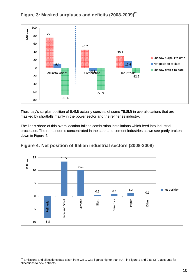

## **Figure 3: Masked surpluses and deficits (2008-2009)<sup>25</sup>**

Thus Italy's surplus position of 9.4Mt actually consists of some 75.8Mt in overallocations that are masked by shortfalls mainly in the power sector and the refineries industry.

The lion's share of this overallocation falls to combustion installations which feed into industrial processes. The remainder is concentrated in the steel and cement industries as we see partly broken down in Figure 4:



## **Figure 4: Net position of Italian industrial sectors (2008-2009)**

 $^{25}$  Emissions and allocations data taken from CITL. Cap figures higher than NAP in Figure 1 and 2 as CITL accounts for allocations to new entrants.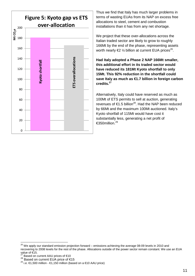

Thus we find that Italy has much larger problems in terms of wasting EUAs from its NAP on excess free allocations to steel, cement and combustion installations than it has from any net shortage.

We project that these over-allocations across the Italian traded sector are likely to grow to roughly 166Mt by the end of the phase, representing assets worth nearly  $\epsilon$ 2 1/<sub>2</sub> billion at current EUA prices<sup>26</sup>.

**Had Italy adopted a Phase 2 NAP 166Mt smaller, this additional effort in its traded sector would have reduced its 181Mt Kyoto shortfall to only 15Mt. This 92% reduction in the shortfall could**  save Italy as much as €1.7 billion in foreign carbon **credits.<sup>27</sup>**

Alternatively, Italy could have reserved as much as 100Mt of ETS permits to sell at auction, generating revenues of €1.5 billion<sup>28</sup>. Had the NAP been reduced by 66Mt and the maximum 100Mt auctioned. Italy's Kyoto shortfall of 115Mt would have cost it substantially less, generating a net profit of €350million.<sup>29</sup>

 $^{26}$  We apply our standard emission projection forward – emissions achieving the average 08-09 levels in 2010 and recovering to 2008 levels for the rest of the phase. Allocations outside of the power sector remain constant. We use an EUA value of €15.

Based on current AAU prices of €10

<sup>28</sup> Based on current EUA price of  $\in$ 15<br>
<sup>28</sup> i.e.  $\in$ 1.500 million -  $\in$ 1.150 million (based on a  $\in$ 0 AAU price)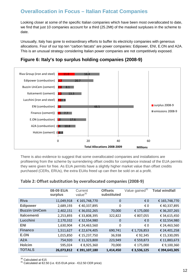## **Overallocation in Focus – Italian Fatcat Companies**

Looking closer at some of the specific Italian companies which have been most overallocated to date, we find that just 10 companies account for a third (25.2Mt) of the masked surpluses in the scheme to date.

Unusually, Italy has gone to extraordinary efforts to buffer its electricity companies with generous allocations. Four of our top ten "carbon fatcats" are power companies: Edipower, ENI, E.ON and A2A. This is an unusual strategy considering Italian power companies are not competitively exposed.



## **Figure 6: Italy's top surplus holding companies (2008-9)**

There is also evidence to suggest that some overallocated companies and installations are profiteering from the scheme by surrendering offset credits for compliance instead of the EUA permits they were given for free. As EUA permits have a slightly higher market value than offset credits purchased (CERs, ERUs), the extra EUAs freed up can then be sold on at a profit.

|                      | 08-09 EUA<br>surplus | Current<br>value <sup>30</sup> | <b>Offsets</b><br>substituted | Value gained <sup>31</sup> | <b>Total windfall</b> |
|----------------------|----------------------|--------------------------------|-------------------------------|----------------------------|-----------------------|
| <b>Riva</b>          | 11,049,918           | € 165,748,770                  | $\mathbf 0$                   | $\epsilon$ 0               | € 165,748,770         |
| <b>Edipower</b>      | 2,689,193            | € 40,337,895                   | 0                             | € 0                        | €40,337,895           |
| <b>Buzzin UniCem</b> | 2,402,151            | € 36,032,265                   | 70,000                        | € 175,000                  | € 36,207,265          |
| <b>Italcementi</b>   | 2,253,893            | € 33,808,395                   | 322,822                       | € 807,055                  | € 34,615,450          |
| Lucchini             | 2,170,332            | € 32,554,980                   | $\Omega$                      | $\epsilon$ 0               | € 32,554,980          |
| <b>ENI</b>           | 1,630,904            | € 24,463,560                   | 0                             | € 0                        | € 24,463,560          |
| <b>Financo</b>       | 1,511,627            | € 22,674,405                   | 690,741                       | € 1,726,853                | € 24,401,258          |
| E.ON                 | 1,015,850            | € 15,237,750                   | 36,938                        | €92,345                    | € 15,330,095          |
| A2A                  | 754,920              | € 11,323,800                   | 223,949                       | € 559,873                  | €11,883,673           |
| <b>Holcim</b>        | 595,024              | € 8,925,360                    | 70,000                        | € 175,000                  | €9,100,360            |
| <b>TOTALS</b>        | 26,073,812           | € 391,107,180                  | 1,414,450                     | € 3,536,125                | € 394,643,305         |

### **Table 2: Offset substitution by overallocated companies (2008-9)**

 $\overline{a}$  $^{30}$  Calculated at €15

 $31$  Calculated at €2.50 (i.e. €15 EUA price - €12.50 CER price)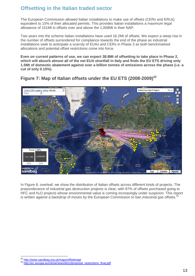## **Offsetting in the Italian traded sector**

The European Commission allowed Italian installations to make use of offsets (CERs and ERUs) equivalent to 15% of their allocated permits. This provides Italian installations a maximum legal allowance of 151Mt in offsets over and above the 1,008Mt in their NAP.

Two years into the scheme Italian installations have used 16.2Mt of offsets. We expect a steep rise in the number of offsets surrendered for compliance towards the end of the phase as industrial installations seek to anticipate a scarcity of EUAs and CERs in Phase 3 as both benchmarked allocations and potential offset restrictions come into force.

**Even on current patterns of use, we can expect 38.8Mt of offsetting to take place in Phase 2, which will absorb almost all of the net EUA shortfall in Italy and finds the EU ETS driving only 1.5Mt of domestic abatement against over a billion tonnes of emissions across the phase (i.e. a cut of only 0.15%).** 



**Figure 7: Map of Italian offsets under the EU ETS (2008-2009)<sup>32</sup>**

In Figure 8, overleaf, we show the distribution of Italian offsets across different kinds of projects. The preponderance of industrial gas destruction projects is clear, with 87% of offsets purchased going to HFC and N<sub>2</sub>O projects whose environmental value is coming increasingly under suspicion. This report is written against a backdrop of moves by the European Commission to ban industrial gas offsets.<sup>3</sup>

 $\overline{a}$ <sup>32</sup> http://www.sandbag.org.uk/maps/offsetmap/

<sup>33</sup> http://ec.europa.eu/clima/news/docs/proposal\_restrictions\_final.pdf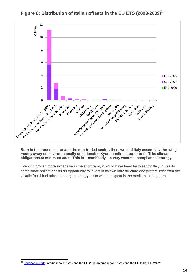

**Figure 8: Distribution of Italian offsets in the EU ETS (2008-2009)<sup>34</sup>**

#### **Both in the traded sector and the non-traded sector, then, we find Italy essentially throwing money away on environmentally questionable Kyoto credits in order to fulfil its climate obligations at minimum cost. This is – manifestly – a very wasteful compliance strategy.**

Even if it proved more expensive in the short term, it would have been far wiser for Italy to use its compliance obligations as an opportunity to invest in its own infrastructure and protect itself from the volatile fossil fuel prices and higher energy costs we can expect in the medium to long term.

 $\overline{a}$ <sup>34</sup> Sandbag reports International Offsets and the EU 2008, International Offsets and the EU 2009, ER Who?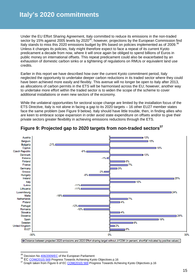Under the EU Effort Sharing Agreement, Italy committed to reduce its emissions in the non-traded sector by 15% against 2005 levels by 2020<sup>35</sup>; however, projections by the European Commission find Italy stands to miss this 2020 emissions budget by 8% based on policies implemented as of 2009.<sup>36</sup> Unless it changes its policies, Italy might therefore expect to face a repeat of its current Kyoto predicament a decade from now, where it will once again be obliged to spend billions of Euros in public money on international offsets. This repeat predicament could also be exacerbated by an exhaustion of domestic carbon sinks or a tightening of regulations on RMUs or equivalent land use credits.

Earlier in this report we have described how over the current Kyoto commitment period, Italy neglected the opportunity to undertake deeper carbon reductions in its traded sector where they could have been achieved more easily and flexibly. This avenue will no longer be open to Italy after 2013, as allocations of carbon permits in the ETS will be harmonised across the EU; however, another way to undertake more effort within the traded sector is to widen the scope of the scheme to cover additional installations or even new sectors of the economy.

While the unilateral opportunities for sectoral scope change are limited by the installation focus of the ETS Directive, Italy is not alone in facing a gap to its 2020 targets – 16 other EU27 member states face the same problem (see Figure 9 below). Italy should have little trouble, then, in finding allies who are keen to embrace scope expansion in order avoid state expenditure on offsets and/or to give their private sectors greater flexibility in achieving emissions reductions through the ETS.



## **Figure 9: Projected gap to 2020 targets from non-traded sectors<sup>37</sup>**

[30] Distance between projected 2020 emissions and 2020 Effort sharing target without JI/CDM (in percent, shortfall indicated by positive values)

<sup>&</sup>lt;sup>35</sup> Decision No 406/2009/EC of the European Parliament

 $36$  EC  $\underline{\text{COM}(2010)}$  569 Progress Towards Achieving Kyoto Objectives p.16<br> $37$  Graph taken from Eigure 6 of EC COM(2010) 569 Progress Towards Ach

Graph taken from Figure 6 of EC COM(2010) 569 Progress Towards Achieving Kyoto Objectives p.16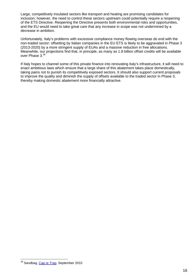Large, competitively insulated sectors like transport and heating are promising candidates for inclusion; however, the need to control these sectors upstream could potentially require a reopening of the ETS Directive. Reopening the Directive presents both environmental risks and opportunities, and the EU would need to take great care that any increase in scope was not undermined by a decrease in ambition.

Unfortunately, Italy's problems with excessive compliance money flowing overseas do end with the non-traded sector: offsetting by Italian companies in the EU ETS is likely to be aggravated in Phase 3 (2013-2020) by a more stringent supply of EUAs and a massive reduction in free allocations. Meanwhile, our projections find that, in principle, as many as 1.8 billion offset credits will be available over Phase 3. $38$ 

If Italy hopes to channel some of this private finance into renovating Italy's infrastructure, it will need to enact ambitious laws which ensure that a large share of this abatement takes place domestically, taking pains not to punish its competitively exposed sectors. It should also support current proposals to improve the quality and diminish the supply of offsets available to the traded sector in Phase 3, thereby making domestic abatement more financially attractive.

<sup>&</sup>lt;sup>38</sup> Sandbag, Cap or Trap, September 2010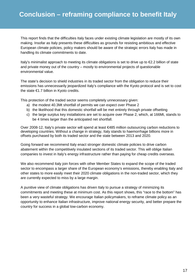This report finds that the difficulties Italy faces under existing climate legislation are mostly of its own making. Insofar as Italy presents these difficulties as grounds for resisting ambitious and effective European climate policies, policy makers should be aware of the strategic errors Italy has made in handling its climate commitments to date.

Italy's minimalist approach to meeting its climate obligations is set to drive up to €2.2 billion of state and private money out of the country – mostly to environmental projects of questionable environmental value.

The state's decision to shield industries in its traded sector from the obligation to reduce their emissions has unnecessarily jeopardized Italy's compliance with the Kyoto protocol and is set to cost the state €1.7 billion in Kyoto credits.

This protection of the traded sector seems completely unnecessary given:

- a) the modest 40.3Mt shortfall of permits we can expect over Phase 2
- b) the likelihood that this domestic shortfall will be met entirely through private offsetting
- c) the large surplus key installations are set to acquire over Phase 2, which, at 166Mt, stands to be 4 times larger than the anticipated net shortfall.

Over 2008-12, Italy's private sector will spend at least €485 million outsourcing carbon reductions to developing countries. Without a change in strategy, Italy stands to haemorrhage billions more in offsets purchased by both its traded sector and the state between 2013 and 2020.

Going forward we recommend Italy enact stronger domestic climate policies to drive carbon abatement within the competitively insulated sections of its traded sector. This will oblige Italian companies to invest in Italy's energy infrastructure rather than paying for cheap credits overseas.

We also recommend Italy join forces with other Member States to expand the scope of the traded sector to encompass a larger share of the European economy's emissions, thereby enabling Italy and other states to more easily meet their 2020 climate obligations in the non-traded sector, which they are currently expected to miss by a large margin.

A punitive view of climate obligations has driven Italy to pursue a strategy of minimizing its commitments and meeting these at minimum cost. As this report shows, this "race to the bottom" has been a very wasteful strategy. We encourage Italian policymakers, to reframe climate policy as an opportunity to enhance Italian infrastructure, improve national energy security, and better prepare the country for success in a global low-carbon economy.